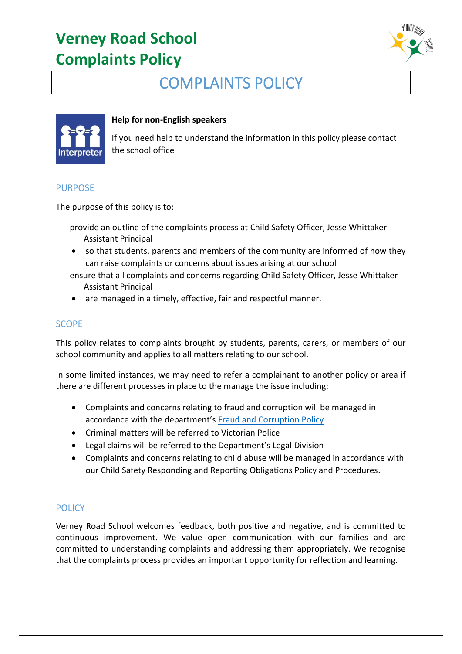

## COMPLAINTS POLICY



## **Help for non-English speakers**

If you need help to understand the information in this policy please contact the school office

### PURPOSE

The purpose of this policy is to:

- provide an outline of the complaints process at Child Safety Officer, Jesse Whittaker Assistant Principal
- so that students, parents and members of the community are informed of how they can raise complaints or concerns about issues arising at our school
- ensure that all complaints and concerns regarding Child Safety Officer, Jesse Whittaker Assistant Principal
- are managed in a timely, effective, fair and respectful manner.

## **SCOPE**

This policy relates to complaints brought by students, parents, carers, or members of our school community and applies to all matters relating to our school.

In some limited instances, we may need to refer a complainant to another policy or area if there are different processes in place to the manage the issue including:

- Complaints and concerns relating to fraud and corruption will be managed in accordance with the department's [Fraud and Corruption Policy](https://www2.education.vic.gov.au/pal/report-fraud-or-corruption/overview)
- Criminal matters will be referred to Victorian Police
- Legal claims will be referred to the Department's Legal Division
- Complaints and concerns relating to child abuse will be managed in accordance with our Child Safety Responding and Reporting Obligations Policy and Procedures.

## **POLICY**

Verney Road School welcomes feedback, both positive and negative, and is committed to continuous improvement. We value open communication with our families and are committed to understanding complaints and addressing them appropriately. We recognise that the complaints process provides an important opportunity for reflection and learning.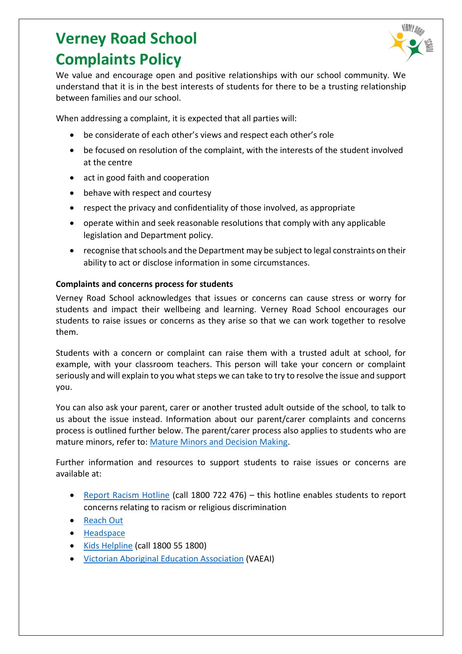

We value and encourage open and positive relationships with our school community. We understand that it is in the best interests of students for there to be a trusting relationship between families and our school.

When addressing a complaint, it is expected that all parties will:

- be considerate of each other's views and respect each other's role
- be focused on resolution of the complaint, with the interests of the student involved at the centre
- act in good faith and cooperation
- behave with respect and courtesy
- respect the privacy and confidentiality of those involved, as appropriate
- operate within and seek reasonable resolutions that comply with any applicable legislation and Department policy.
- recognise that schools and the Department may be subject to legal constraints on their ability to act or disclose information in some circumstances.

## **Complaints and concerns process for students**

Verney Road School acknowledges that issues or concerns can cause stress or worry for students and impact their wellbeing and learning. Verney Road School encourages our students to raise issues or concerns as they arise so that we can work together to resolve them.

Students with a concern or complaint can raise them with a trusted adult at school, for example, with your classroom teachers. This person will take your concern or complaint seriously and will explain to you what steps we can take to try to resolve the issue and support you.

You can also ask your parent, carer or another trusted adult outside of the school, to talk to us about the issue instead. Information about our parent/carer complaints and concerns process is outlined further below. The parent/carer process also applies to students who are mature minors, refer to: [Mature Minors and Decision Making.](https://www2.education.vic.gov.au/pal/mature-minors-and-decision-making/policy)

Further information and resources to support students to raise issues or concerns are available at:

- [Report Racism Hotline](https://www.vic.gov.au/report-racism-or-religious-discrimination-schools) (call 1800 722 476) this hotline enables students to report concerns relating to racism or religious discrimination
- [Reach Out](https://au.reachout.com/?gclid=CjwKCAiAgbiQBhAHEiwAuQ6BktaB5xneGFK3TnOql5c5eZ7af7dDm9ffLZa7N59FEtbtQzVIk8sGWhoC8N0QAvD_BwE)
- [Headspace](https://headspace.org.au/)
- [Kids Helpline](https://kidshelpline.com.au/?gclid=CjwKCAiAgbiQBhAHEiwAuQ6Bkro6UD2EBcRILznFnRhKjfi5I84jJlUa0fyiiYLQ4mHx5sXTStxH8BoCCEIQAvD_BwE) (call 1800 55 1800)
- [Victorian Aboriginal Education Association](https://www.vaeai.org.au/) (VAEAI)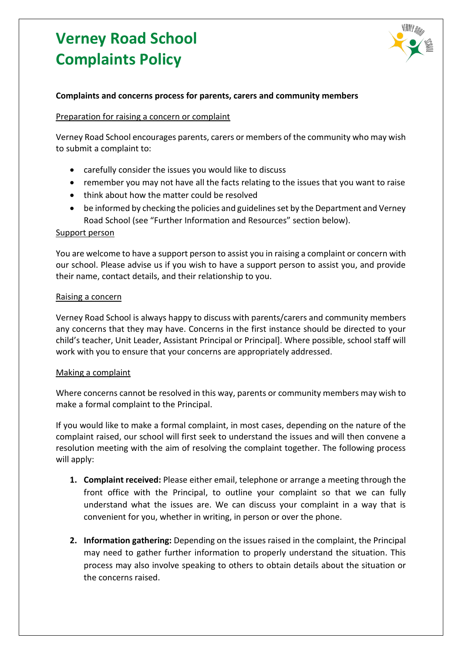

#### **Complaints and concerns process for parents, carers and community members**

#### Preparation for raising a concern or complaint

Verney Road School encourages parents, carers or members of the community who may wish to submit a complaint to:

- carefully consider the issues you would like to discuss
- remember you may not have all the facts relating to the issues that you want to raise
- think about how the matter could be resolved
- be informed by checking the policies and guidelines set by the Department and Verney Road School (see "Further Information and Resources" section below).

#### Support person

You are welcome to have a support person to assist you in raising a complaint or concern with our school. Please advise us if you wish to have a support person to assist you, and provide their name, contact details, and their relationship to you.

#### Raising a concern

Verney Road School is always happy to discuss with parents/carers and community members any concerns that they may have. Concerns in the first instance should be directed to your child's teacher, Unit Leader, Assistant Principal or Principal]. Where possible, school staff will work with you to ensure that your concerns are appropriately addressed.

#### Making a complaint

Where concerns cannot be resolved in this way, parents or community members may wish to make a formal complaint to the Principal.

If you would like to make a formal complaint, in most cases, depending on the nature of the complaint raised, our school will first seek to understand the issues and will then convene a resolution meeting with the aim of resolving the complaint together. The following process will apply:

- **1. Complaint received:** Please either email, telephone or arrange a meeting through the front office with the Principal, to outline your complaint so that we can fully understand what the issues are. We can discuss your complaint in a way that is convenient for you, whether in writing, in person or over the phone.
- **2. Information gathering:** Depending on the issues raised in the complaint, the Principal may need to gather further information to properly understand the situation. This process may also involve speaking to others to obtain details about the situation or the concerns raised.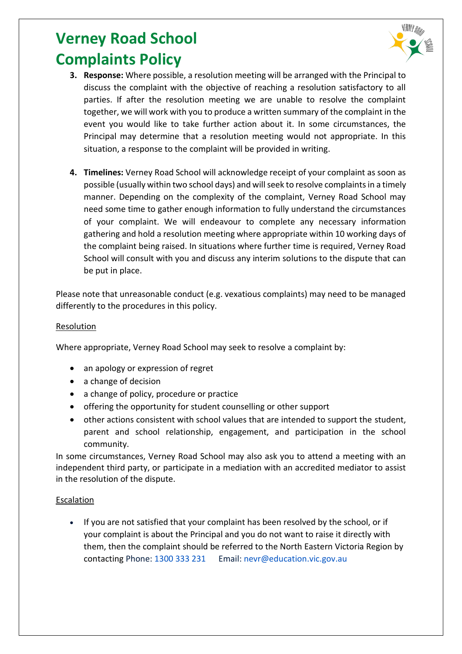

- **3. Response:** Where possible, a resolution meeting will be arranged with the Principal to discuss the complaint with the objective of reaching a resolution satisfactory to all parties. If after the resolution meeting we are unable to resolve the complaint together, we will work with you to produce a written summary of the complaint in the event you would like to take further action about it. In some circumstances, the Principal may determine that a resolution meeting would not appropriate. In this situation, a response to the complaint will be provided in writing.
- **4. Timelines:** Verney Road School will acknowledge receipt of your complaint as soon as possible (usually within two school days) and will seek to resolve complaints in a timely manner. Depending on the complexity of the complaint, Verney Road School may need some time to gather enough information to fully understand the circumstances of your complaint. We will endeavour to complete any necessary information gathering and hold a resolution meeting where appropriate within 10 working days of the complaint being raised. In situations where further time is required, Verney Road School will consult with you and discuss any interim solutions to the dispute that can be put in place.

Please note that unreasonable conduct (e.g. vexatious complaints) may need to be managed differently to the procedures in this policy.

## **Resolution**

Where appropriate, Verney Road School may seek to resolve a complaint by:

- an apology or expression of regret
- a change of decision
- a change of policy, procedure or practice
- offering the opportunity for student counselling or other support
- other actions consistent with school values that are intended to support the student, parent and school relationship, engagement, and participation in the school community.

In some circumstances, Verney Road School may also ask you to attend a meeting with an independent third party, or participate in a mediation with an accredited mediator to assist in the resolution of the dispute.

#### Escalation

• If you are not satisfied that your complaint has been resolved by the school, or if your complaint is about the Principal and you do not want to raise it directly with them, then the complaint should be referred to the North Eastern Victoria Region by contacting Phone: [1300 333 231](tel:1300333231) Email: [nevr@education.vic.gov.au](mailto:nevr@education.vic.gov.au)